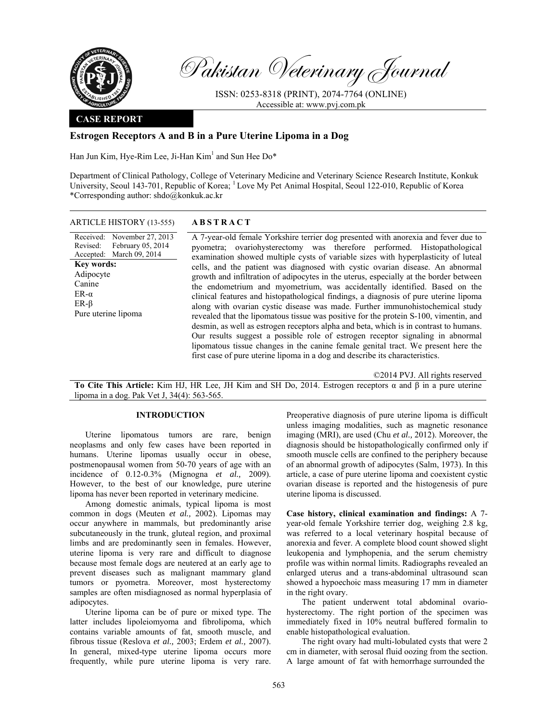

Revised:

**Key words:**  Adipocyte Canine ER-α ER-β

Pakistan Veterinary Journal

ISSN: 0253-8318 (PRINT), 2074-7764 (ONLINE) Accessible at: www.pvj.com.pk

## **CASE REPORT**

# **Estrogen Receptors Α and Β in a Pure Uterine Lipoma in a Dog**

Han Jun Kim, Hye-Rim Lee, Ji-Han Kim<sup>1</sup> and Sun Hee Do\*

Department of Clinical Pathology, College of Veterinary Medicine and Veterinary Science Research Institute, Konkuk University, Seoul 143-701, Republic of Korea; <sup>1</sup> Love My Pet Animal Hospital, Seoul 122-010, Republic of Korea \*Corresponding author: shdo@konkuk.ac.kr

# ARTICLE HISTORY (13-555) **ABSTRACT**

Received: November 27, 2013 Accepted: March 09, 2014 February 05, 2014 A 7-year-old female Yorkshire terrier dog presented with anorexia and fever due to pyometra; ovariohysterectomy was therefore performed. Histopathological examination showed multiple cysts of variable sizes with hyperplasticity of luteal cells, and the patient was diagnosed with cystic ovarian disease. An abnormal growth and infiltration of adipocytes in the uterus, especially at the border between the endometrium and myometrium, was accidentally identified. Based on the clinical features and histopathological findings, a diagnosis of pure uterine lipoma along with ovarian cystic disease was made. Further immunohistochemical study revealed that the lipomatous tissue was positive for the protein S-100, vimentin, and desmin, as well as estrogen receptors alpha and beta, which is in contrast to humans. Our results suggest a possible role of estrogen receptor signaling in abnormal lipomatous tissue changes in the canine female genital tract. We present here the first case of pure uterine lipoma in a dog and describe its characteristics. Pure uterine lipoma

©2014 PVJ. All rights reserved

**To Cite This Article:** Kim HJ, HR Lee, JH Kim and SH Do, 2014. Estrogen receptors α and β in a pure uterine lipoma in a dog. Pak Vet J, 34(4): 563-565.

### **INTRODUCTION**

Uterine lipomatous tumors are rare, benign neoplasms and only few cases have been reported in humans. Uterine lipomas usually occur in obese, postmenopausal women from 50-70 years of age with an incidence of 0.12-0.3% (Mignogna *et al.,* 2009). However, to the best of our knowledge, pure uterine lipoma has never been reported in veterinary medicine.

Among domestic animals, typical lipoma is most common in dogs (Meuten *et al.,* 2002). Lipomas may occur anywhere in mammals, but predominantly arise subcutaneously in the trunk, gluteal region, and proximal limbs and are predominantly seen in females. However, uterine lipoma is very rare and difficult to diagnose because most female dogs are neutered at an early age to prevent diseases such as malignant mammary gland tumors or pyometra. Moreover, most hysterectomy samples are often misdiagnosed as normal hyperplasia of adipocytes.

Uterine lipoma can be of pure or mixed type. The latter includes lipoleiomyoma and fibrolipoma, which contains variable amounts of fat, smooth muscle, and fibrous tissue (Reslova *et al.,* 2003; Erdem *et al.,* 2007). In general, mixed-type uterine lipoma occurs more frequently, while pure uterine lipoma is very rare.

Preoperative diagnosis of pure uterine lipoma is difficult unless imaging modalities, such as magnetic resonance imaging (MRI), are used (Chu *et al.,* 2012). Moreover, the diagnosis should be histopathologically confirmed only if smooth muscle cells are confined to the periphery because of an abnormal growth of adipocytes (Salm, 1973). In this article, a case of pure uterine lipoma and coexistent cystic ovarian disease is reported and the histogenesis of pure uterine lipoma is discussed.

**Case history, clinical examination and findings:** A 7 year-old female Yorkshire terrier dog, weighing 2.8 kg, was referred to a local veterinary hospital because of anorexia and fever. A complete blood count showed slight leukopenia and lymphopenia, and the serum chemistry profile was within normal limits. Radiographs revealed an enlarged uterus and a trans-abdominal ultrasound scan showed a hypoechoic mass measuring 17 mm in diameter in the right ovary.

The patient underwent total abdominal ovariohysterectomy. The right portion of the specimen was immediately fixed in 10% neutral buffered formalin to enable histopathological evaluation.

The right ovary had multi-lobulated cysts that were 2 cm in diameter, with serosal fluid oozing from the section. A large amount of fat with hemorrhage surrounded the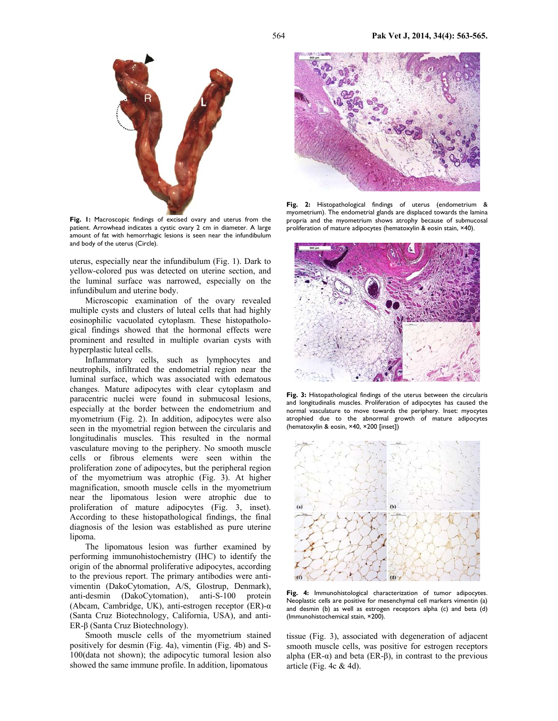

**Fig. 1:** Macroscopic findings of excised ovary and uterus from the patient. Arrowhead indicates a cystic ovary 2 cm in diameter. A large amount of fat with hemorrhagic lesions is seen near the infundibulum and body of the uterus (Circle).

uterus, especially near the infundibulum (Fig. 1). Dark to yellow-colored pus was detected on uterine section, and the luminal surface was narrowed, especially on the infundibulum and uterine body.

Microscopic examination of the ovary revealed multiple cysts and clusters of luteal cells that had highly eosinophilic vacuolated cytoplasm. These histopathological findings showed that the hormonal effects were prominent and resulted in multiple ovarian cysts with hyperplastic luteal cells.

Inflammatory cells, such as lymphocytes and neutrophils, infiltrated the endometrial region near the luminal surface, which was associated with edematous changes. Mature adipocytes with clear cytoplasm and paracentric nuclei were found in submucosal lesions, especially at the border between the endometrium and myometrium (Fig. 2). In addition, adipocytes were also seen in the myometrial region between the circularis and longitudinalis muscles. This resulted in the normal vasculature moving to the periphery. No smooth muscle cells or fibrous elements were seen within the proliferation zone of adipocytes, but the peripheral region of the myometrium was atrophic (Fig. 3). At higher magnification, smooth muscle cells in the myometrium near the lipomatous lesion were atrophic due to proliferation of mature adipocytes (Fig. 3, inset). According to these histopathological findings, the final diagnosis of the lesion was established as pure uterine lipoma.

The lipomatous lesion was further examined by performing immunohistochemistry (IHC) to identify the origin of the abnormal proliferative adipocytes, according to the previous report. The primary antibodies were antivimentin (DakoCytomation, A/S, Glostrup, Denmark), anti-desmin (DakoCytomation), anti-S-100 protein (Abcam, Cambridge, UK), anti-estrogen receptor (ER)- $\alpha$ (Santa Cruz Biotechnology, California, USA), and anti-ER-β (Santa Cruz Biotechnology).

Smooth muscle cells of the myometrium stained positively for desmin (Fig. 4a), vimentin (Fig. 4b) and S-100(data not shown); the adipocytic tumoral lesion also showed the same immune profile. In addition, lipomatous



**Fig. 2:** Histopathological findings of uterus (endometrium & myometrium). The endometrial glands are displaced towards the lamina propria and the myometrium shows atrophy because of submucosal proliferation of mature adipocytes (hematoxylin & eosin stain, ×40).



**Fig. 3:** Histopathological findings of the uterus between the circularis and longitudinalis muscles. Proliferation of adipocytes has caused the normal vasculature to move towards the periphery. Inset: myocytes atrophied due to the abnormal growth of mature adipocytes (hematoxylin & eosin, ×40, ×200 [inset])



**Fig. 4:** Immunohistological characterization of tumor adipocytes. Neoplastic cells are positive for mesenchymal cell markers vimentin (a) and desmin (b) as well as estrogen receptors alpha (c) and beta (d) (Immunohistochemical stain, ×200).

tissue (Fig. 3), associated with degeneration of adjacent smooth muscle cells, was positive for estrogen receptors alpha (ER- $\alpha$ ) and beta (ER-β), in contrast to the previous article (Fig. 4c  $&$  4d).